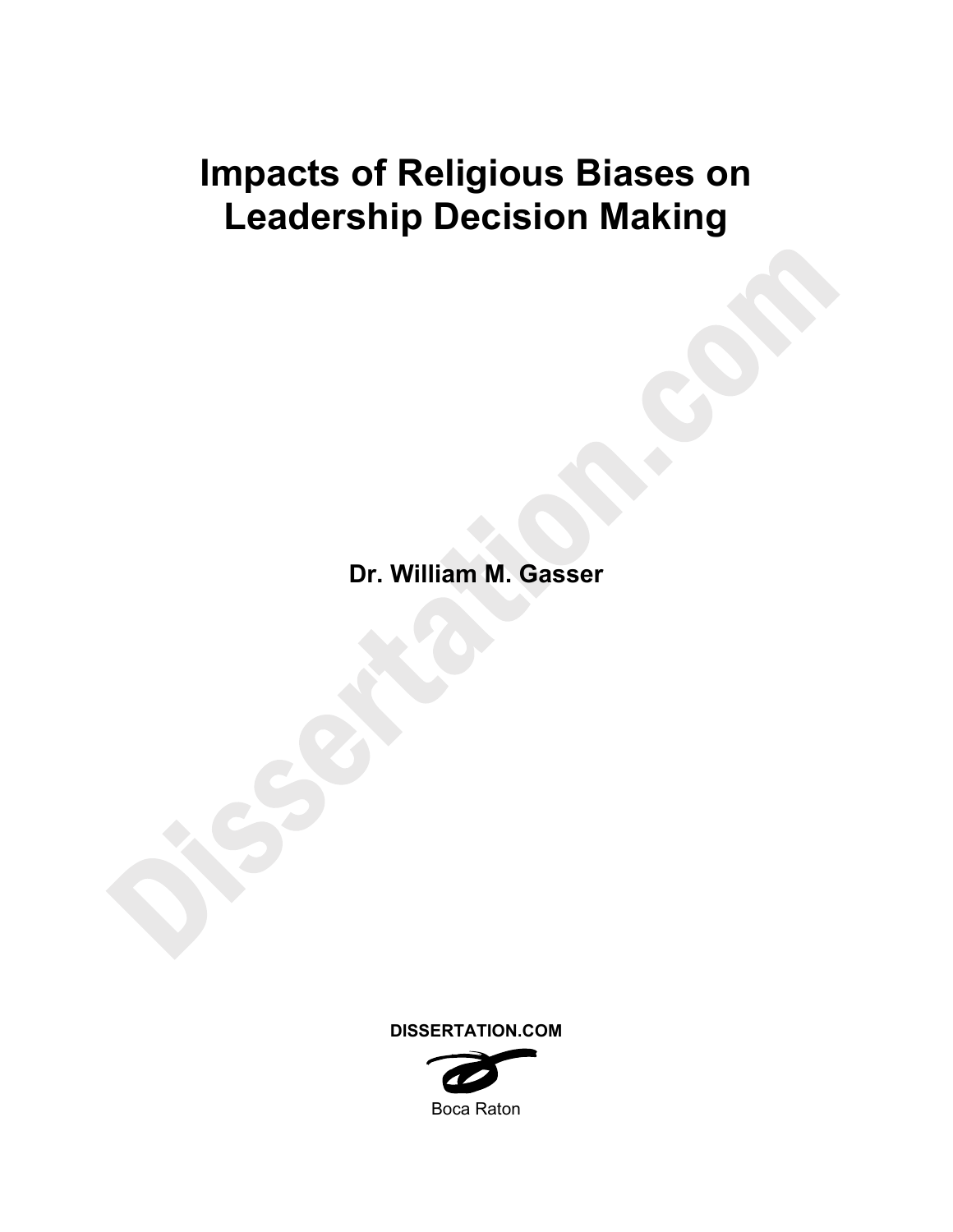# **Impacts of Religious Biases on Leadership Decision Making**

**Dr. William M. Gasser** 



Boca Raton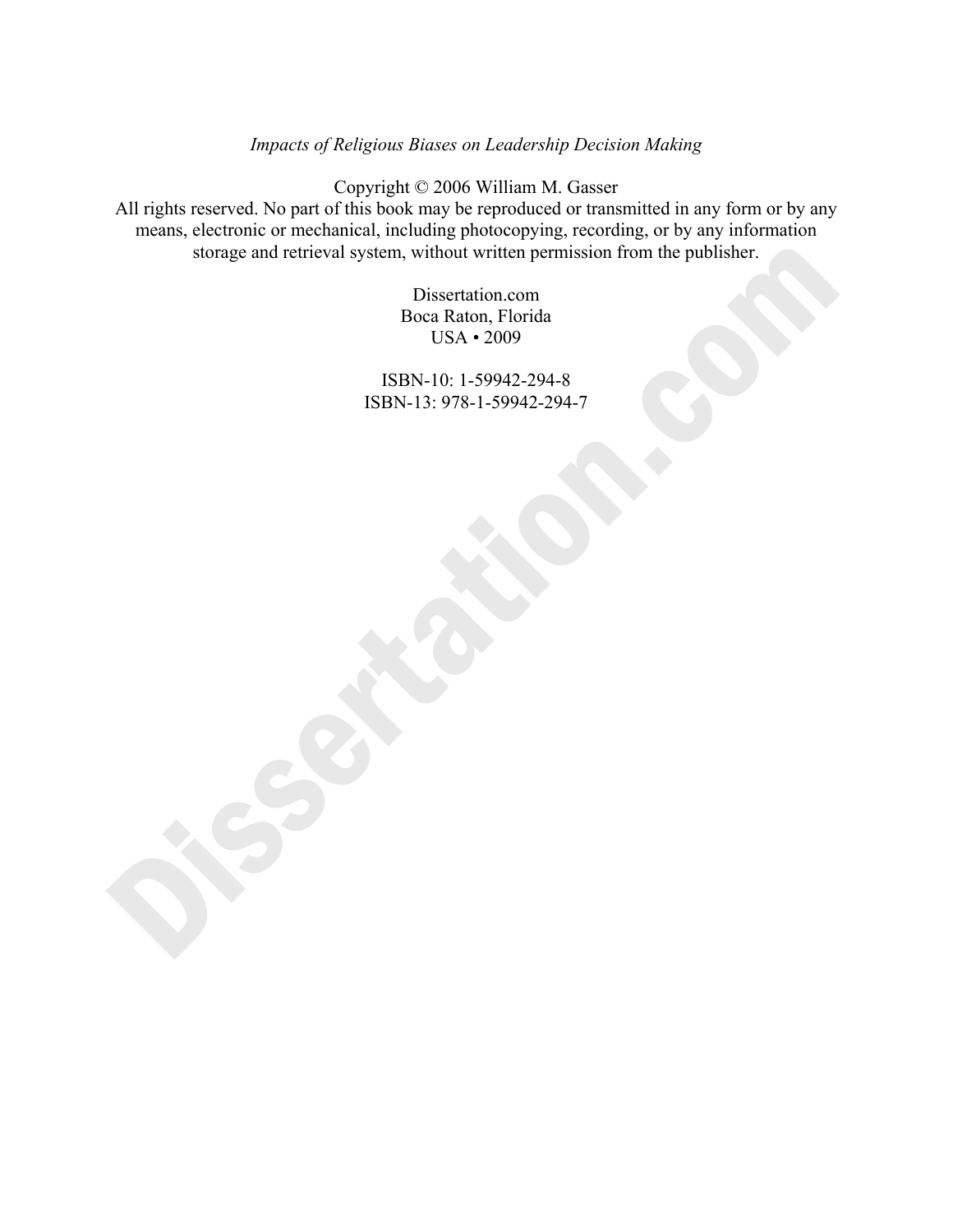# *Impacts of Religious Biases on Leadership Decision Making*

Copyright © 2006 William M. Gasser All rights reserved. No part of this book may be reproduced or transmitted in any form or by any means, electronic or mechanical, including photocopying, recording, or by any information storage and retrieval system, without written permission from the publisher.

> Dissertation.com Boca Raton, Florida USA • 2009

ISBN-10: 1-59942-294-8 ISBN-13: 978-1-59942-294-7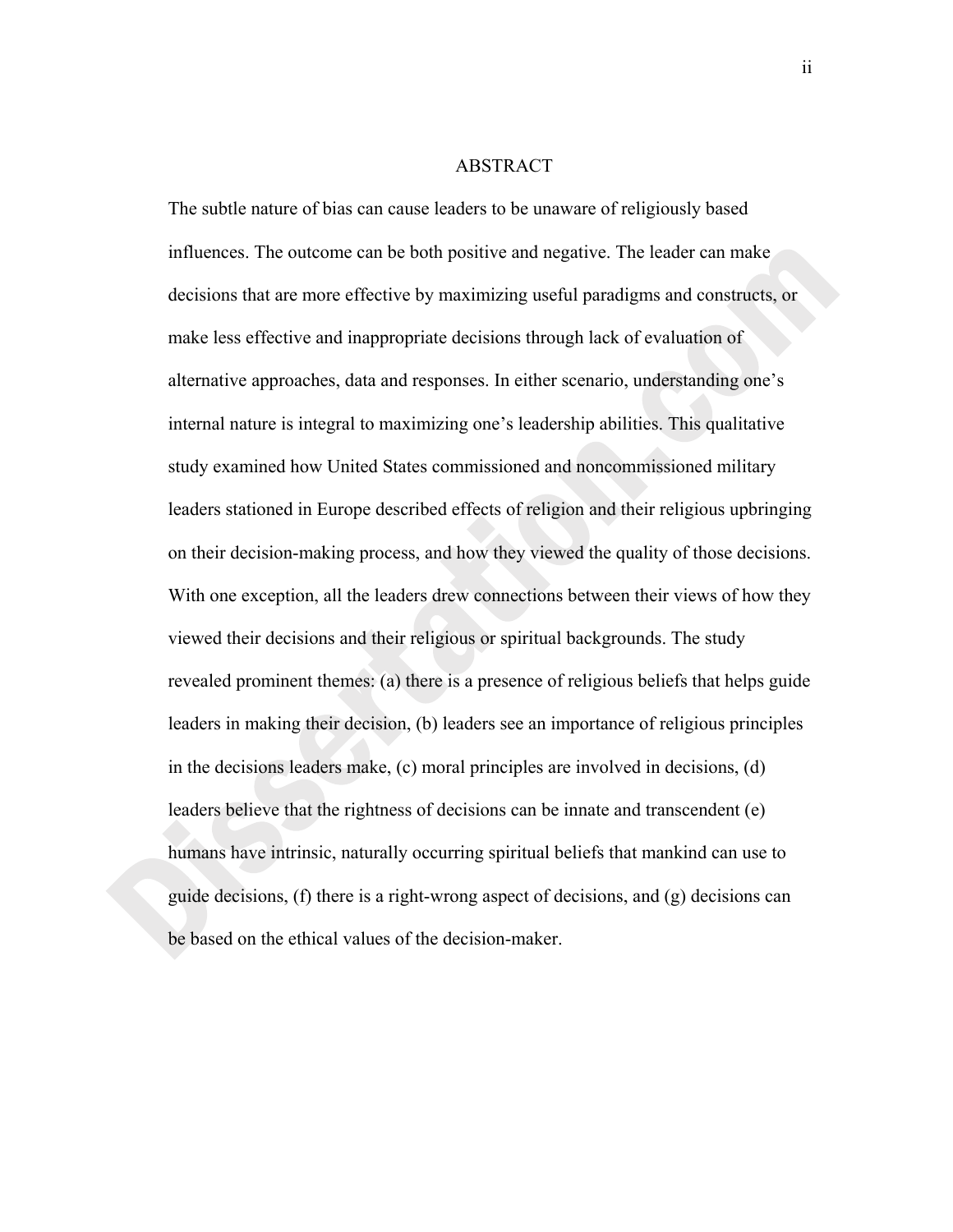#### ABSTRACT

The subtle nature of bias can cause leaders to be unaware of religiously based influences. The outcome can be both positive and negative. The leader can make decisions that are more effective by maximizing useful paradigms and constructs, or make less effective and inappropriate decisions through lack of evaluation of alternative approaches, data and responses. In either scenario, understanding one's internal nature is integral to maximizing one's leadership abilities. This qualitative study examined how United States commissioned and noncommissioned military leaders stationed in Europe described effects of religion and their religious upbringing on their decision-making process, and how they viewed the quality of those decisions. With one exception, all the leaders drew connections between their views of how they viewed their decisions and their religious or spiritual backgrounds. The study revealed prominent themes: (a) there is a presence of religious beliefs that helps guide leaders in making their decision, (b) leaders see an importance of religious principles in the decisions leaders make, (c) moral principles are involved in decisions, (d) leaders believe that the rightness of decisions can be innate and transcendent (e) humans have intrinsic, naturally occurring spiritual beliefs that mankind can use to guide decisions, (f) there is a right-wrong aspect of decisions, and (g) decisions can be based on the ethical values of the decision-maker.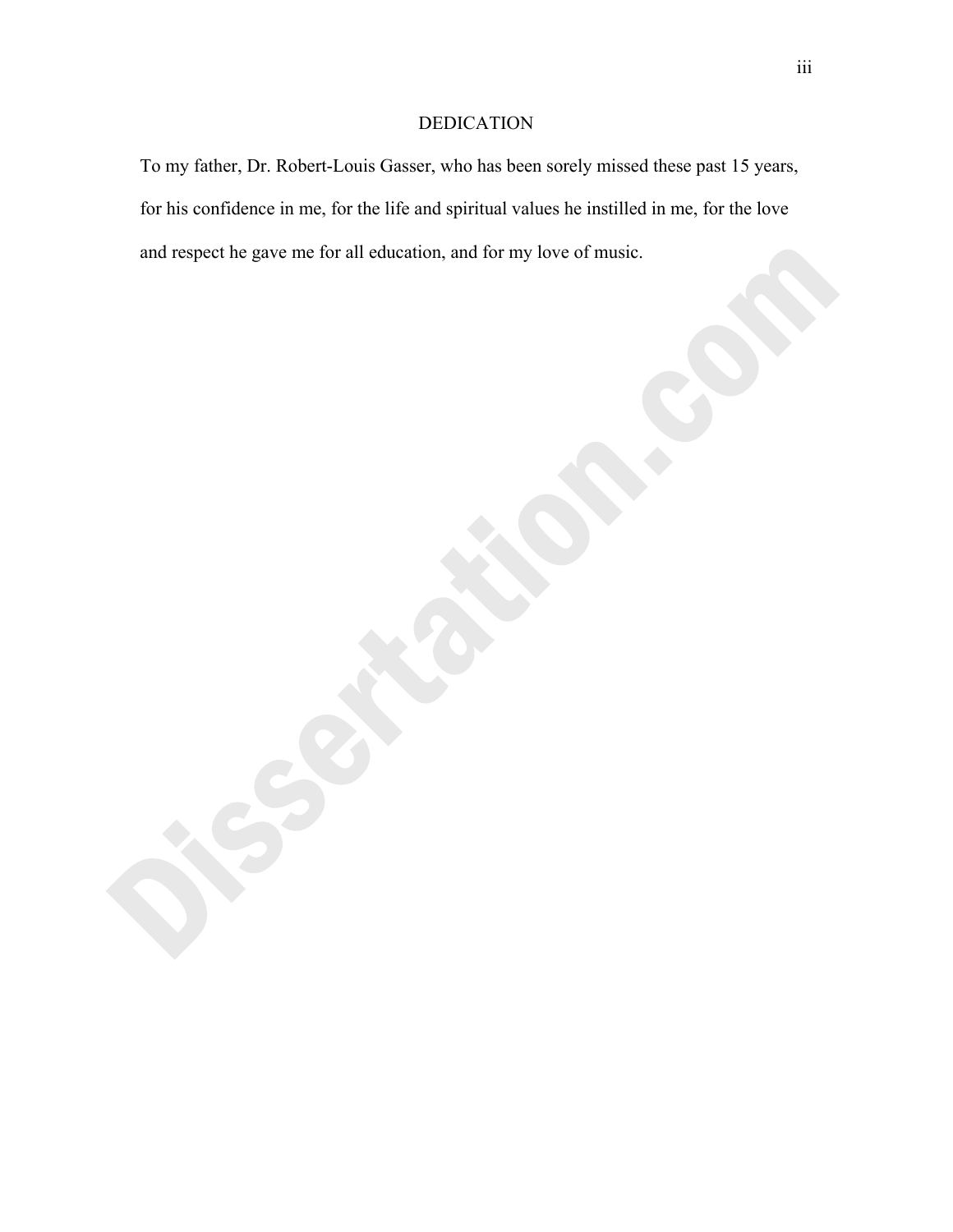# DEDICATION

To my father, Dr. Robert-Louis Gasser, who has been sorely missed these past 15 years, for his confidence in me, for the life and spiritual values he instilled in me, for the love and respect he gave me for all education, and for my love of music.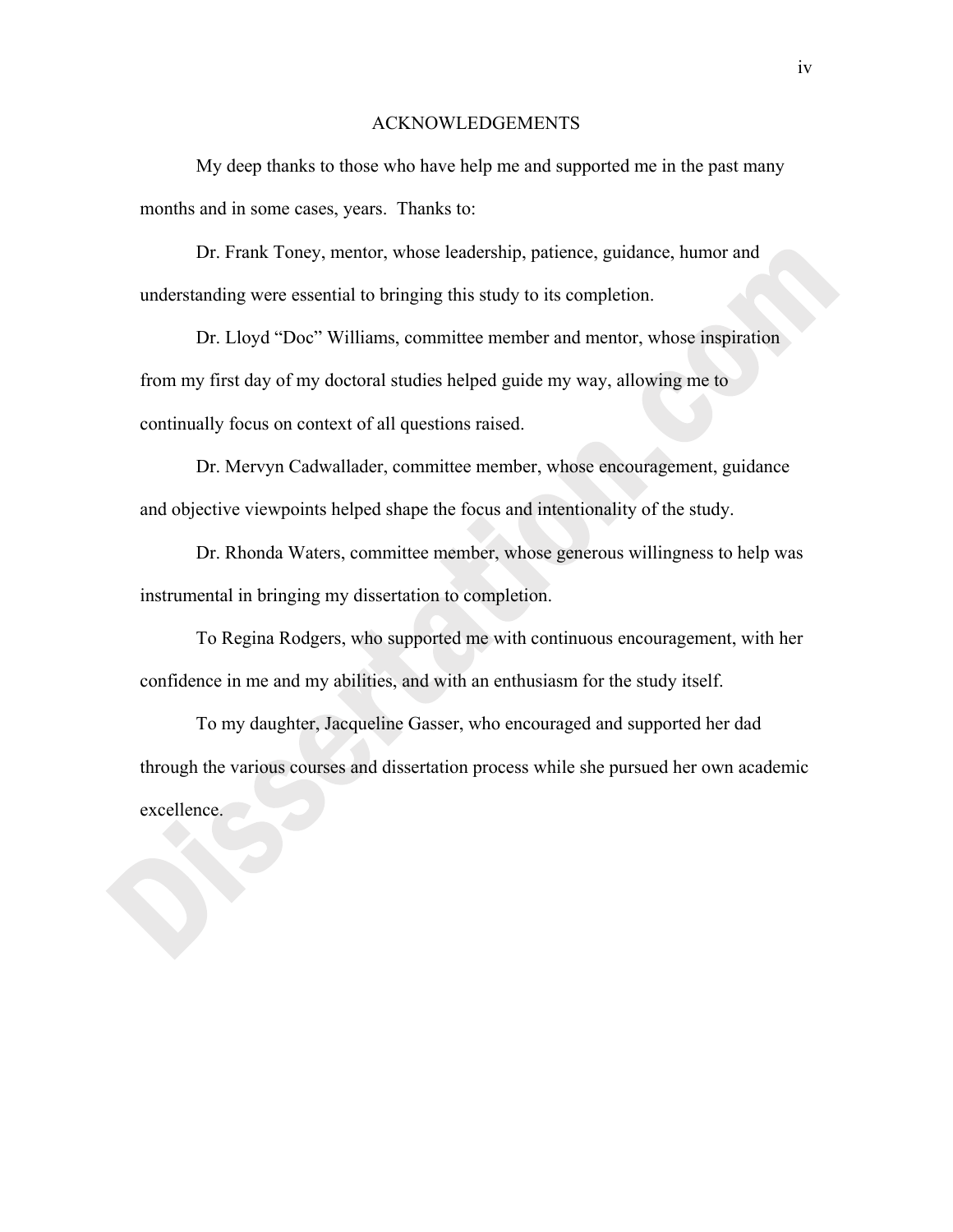#### ACKNOWLEDGEMENTS

My deep thanks to those who have help me and supported me in the past many months and in some cases, years. Thanks to:

Dr. Frank Toney, mentor, whose leadership, patience, guidance, humor and understanding were essential to bringing this study to its completion.

Dr. Lloyd "Doc" Williams, committee member and mentor, whose inspiration from my first day of my doctoral studies helped guide my way, allowing me to continually focus on context of all questions raised.

Dr. Mervyn Cadwallader, committee member, whose encouragement, guidance and objective viewpoints helped shape the focus and intentionality of the study.

Dr. Rhonda Waters, committee member, whose generous willingness to help was instrumental in bringing my dissertation to completion.

To Regina Rodgers, who supported me with continuous encouragement, with her confidence in me and my abilities, and with an enthusiasm for the study itself.

To my daughter, Jacqueline Gasser, who encouraged and supported her dad through the various courses and dissertation process while she pursued her own academic excellence.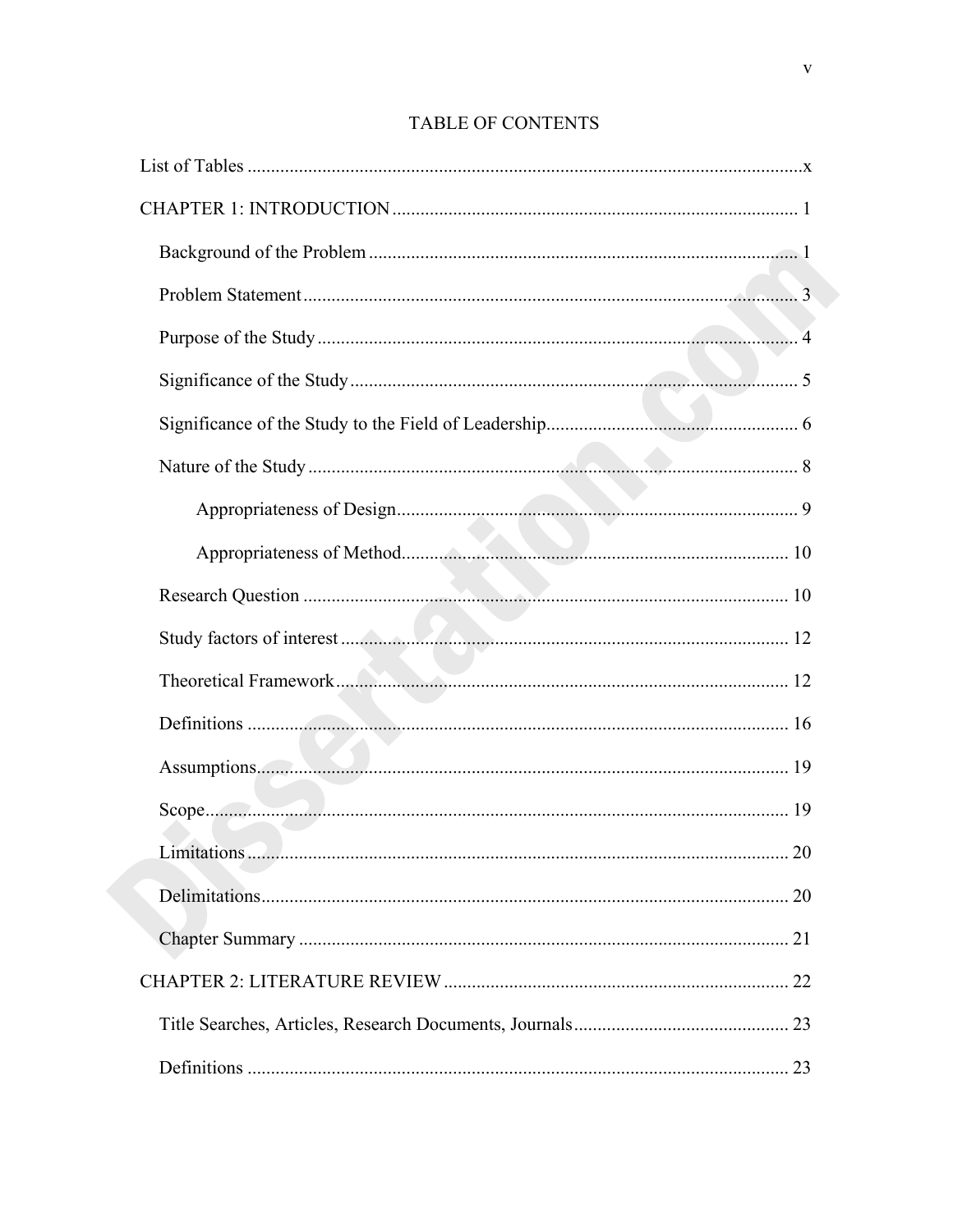# 

# **TABLE OF CONTENTS**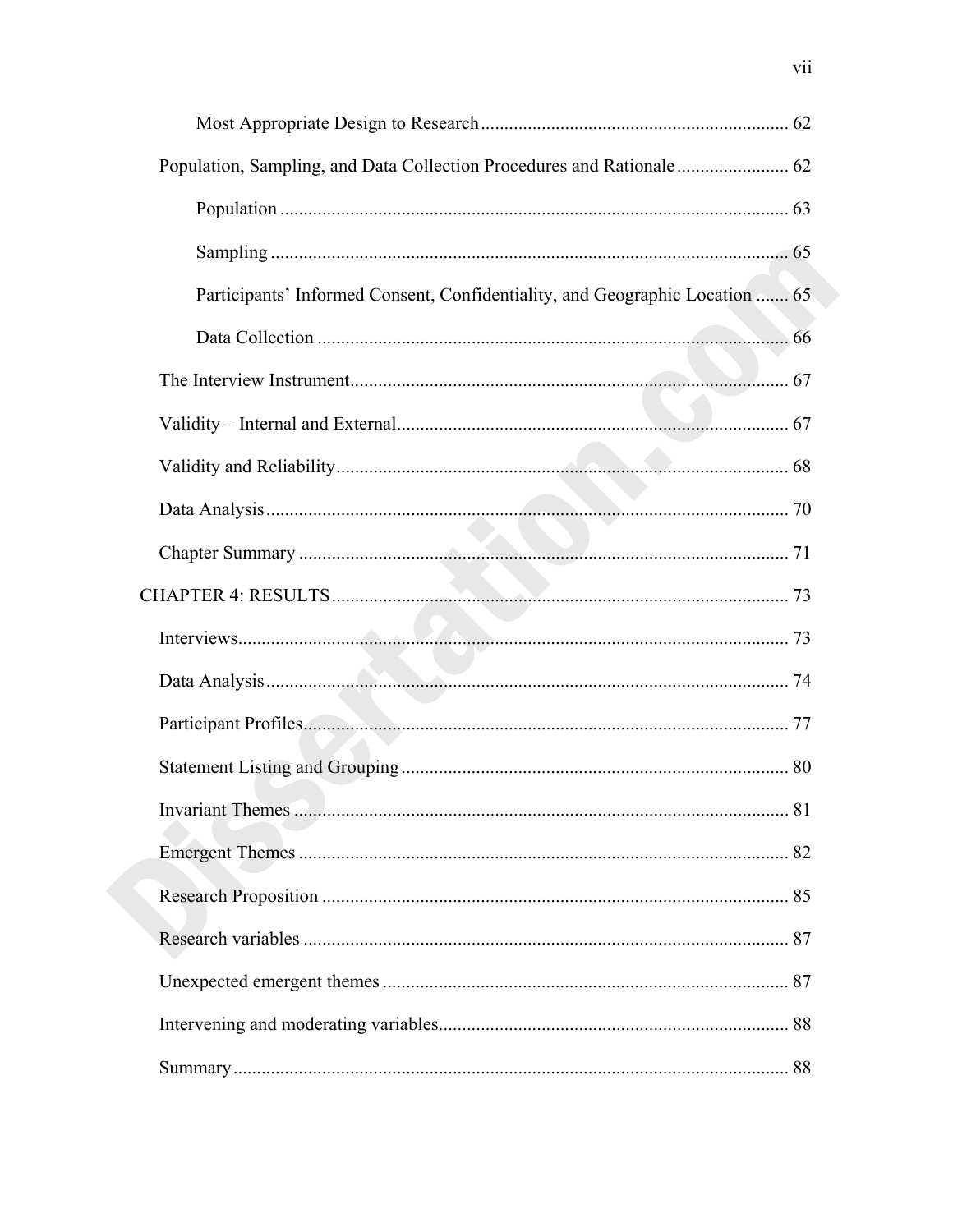| Population, Sampling, and Data Collection Procedures and Rationale 62        |  |
|------------------------------------------------------------------------------|--|
|                                                                              |  |
|                                                                              |  |
| Participants' Informed Consent, Confidentiality, and Geographic Location  65 |  |
|                                                                              |  |
|                                                                              |  |
|                                                                              |  |
|                                                                              |  |
|                                                                              |  |
|                                                                              |  |
|                                                                              |  |
|                                                                              |  |
|                                                                              |  |
|                                                                              |  |
|                                                                              |  |
|                                                                              |  |
|                                                                              |  |
|                                                                              |  |
|                                                                              |  |
|                                                                              |  |
|                                                                              |  |
|                                                                              |  |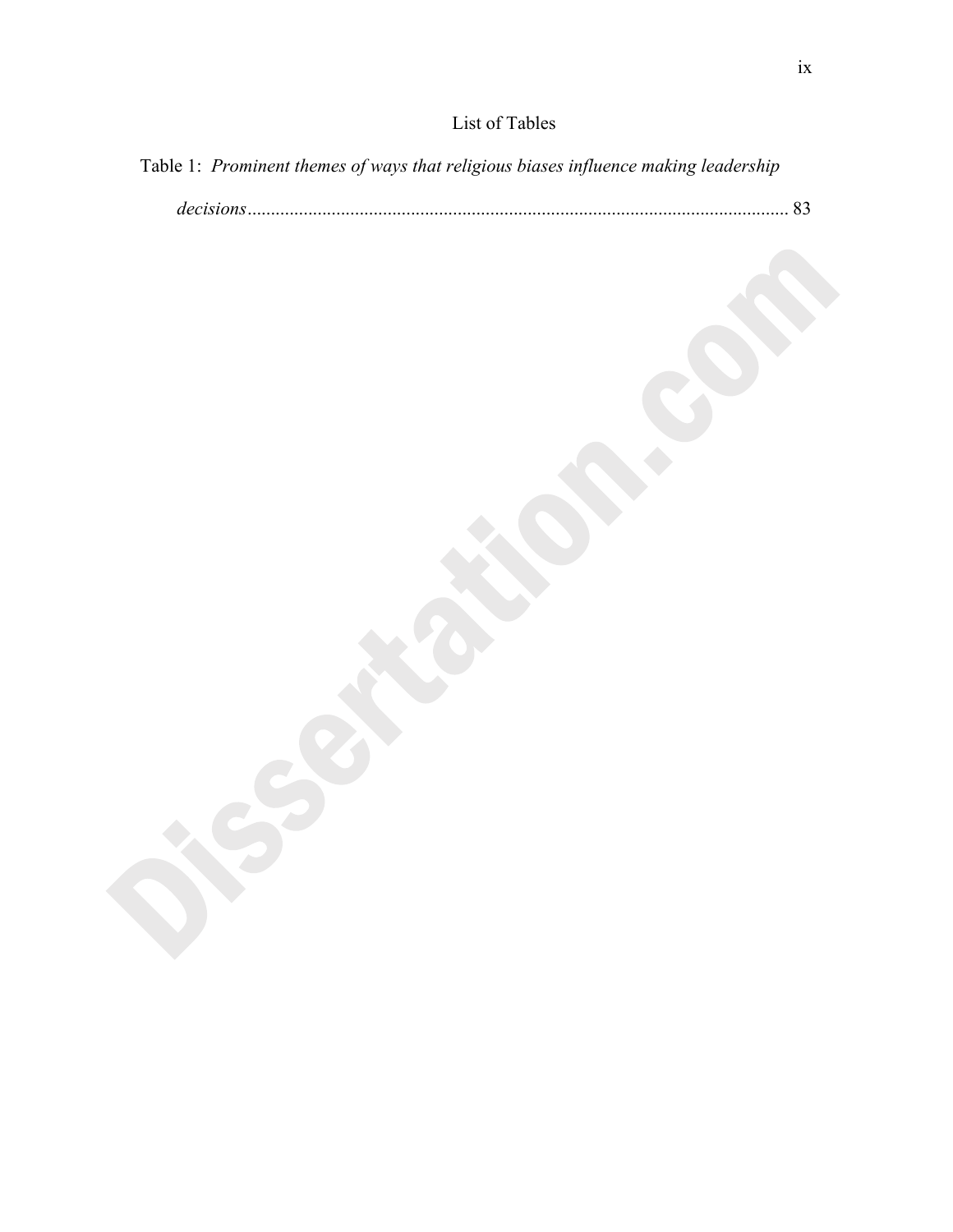# List of Tables

| Table 1: Prominent themes of ways that religious biases influence making leadership |  |  |  |  |
|-------------------------------------------------------------------------------------|--|--|--|--|
|                                                                                     |  |  |  |  |

|--|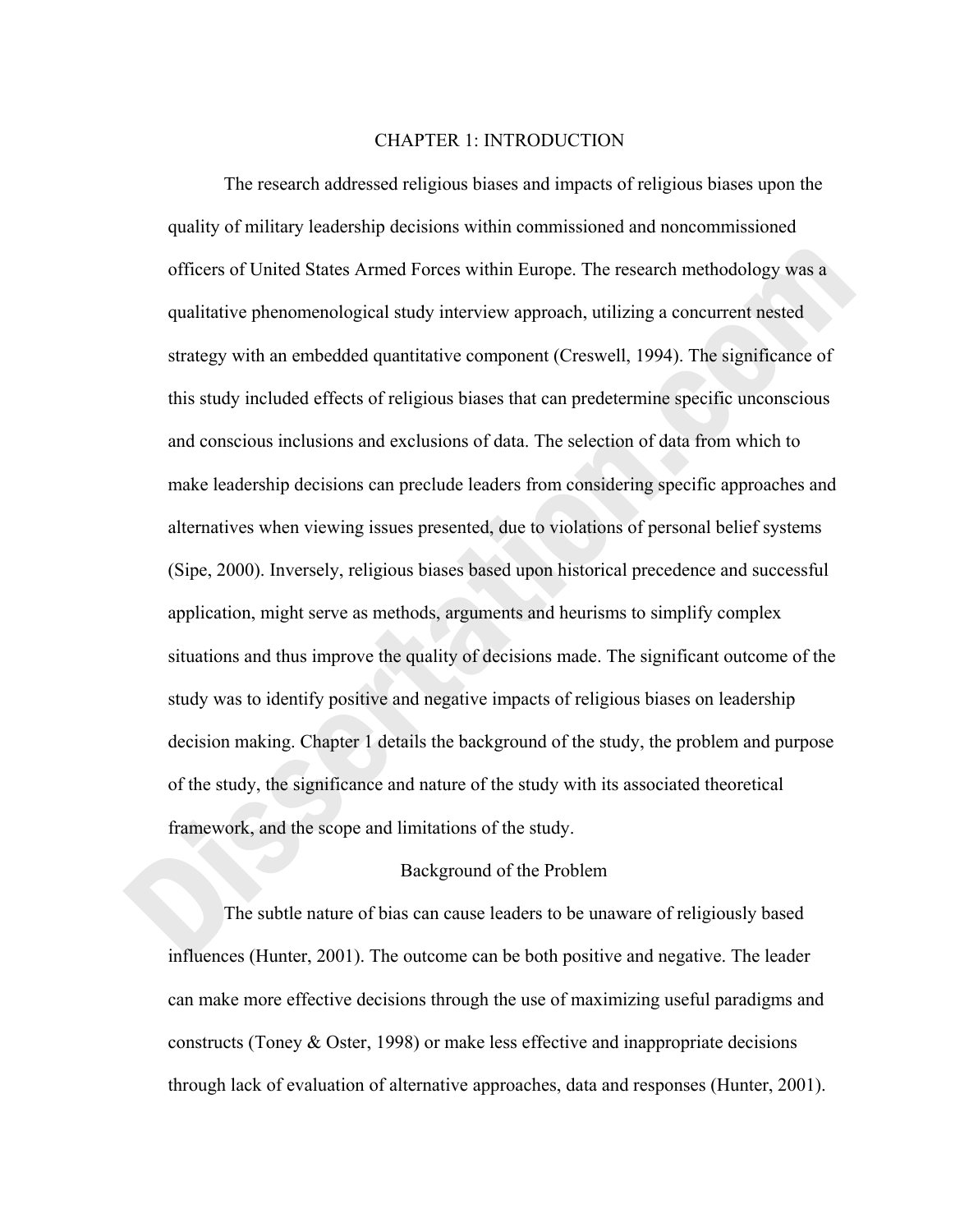### CHAPTER 1: INTRODUCTION

The research addressed religious biases and impacts of religious biases upon the quality of military leadership decisions within commissioned and noncommissioned officers of United States Armed Forces within Europe. The research methodology was a qualitative phenomenological study interview approach, utilizing a concurrent nested strategy with an embedded quantitative component (Creswell, 1994). The significance of this study included effects of religious biases that can predetermine specific unconscious and conscious inclusions and exclusions of data. The selection of data from which to make leadership decisions can preclude leaders from considering specific approaches and alternatives when viewing issues presented, due to violations of personal belief systems (Sipe, 2000). Inversely, religious biases based upon historical precedence and successful application, might serve as methods, arguments and heurisms to simplify complex situations and thus improve the quality of decisions made. The significant outcome of the study was to identify positive and negative impacts of religious biases on leadership decision making. Chapter 1 details the background of the study, the problem and purpose of the study, the significance and nature of the study with its associated theoretical framework, and the scope and limitations of the study.

#### Background of the Problem

The subtle nature of bias can cause leaders to be unaware of religiously based influences (Hunter, 2001). The outcome can be both positive and negative. The leader can make more effective decisions through the use of maximizing useful paradigms and constructs (Toney & Oster, 1998) or make less effective and inappropriate decisions through lack of evaluation of alternative approaches, data and responses (Hunter, 2001).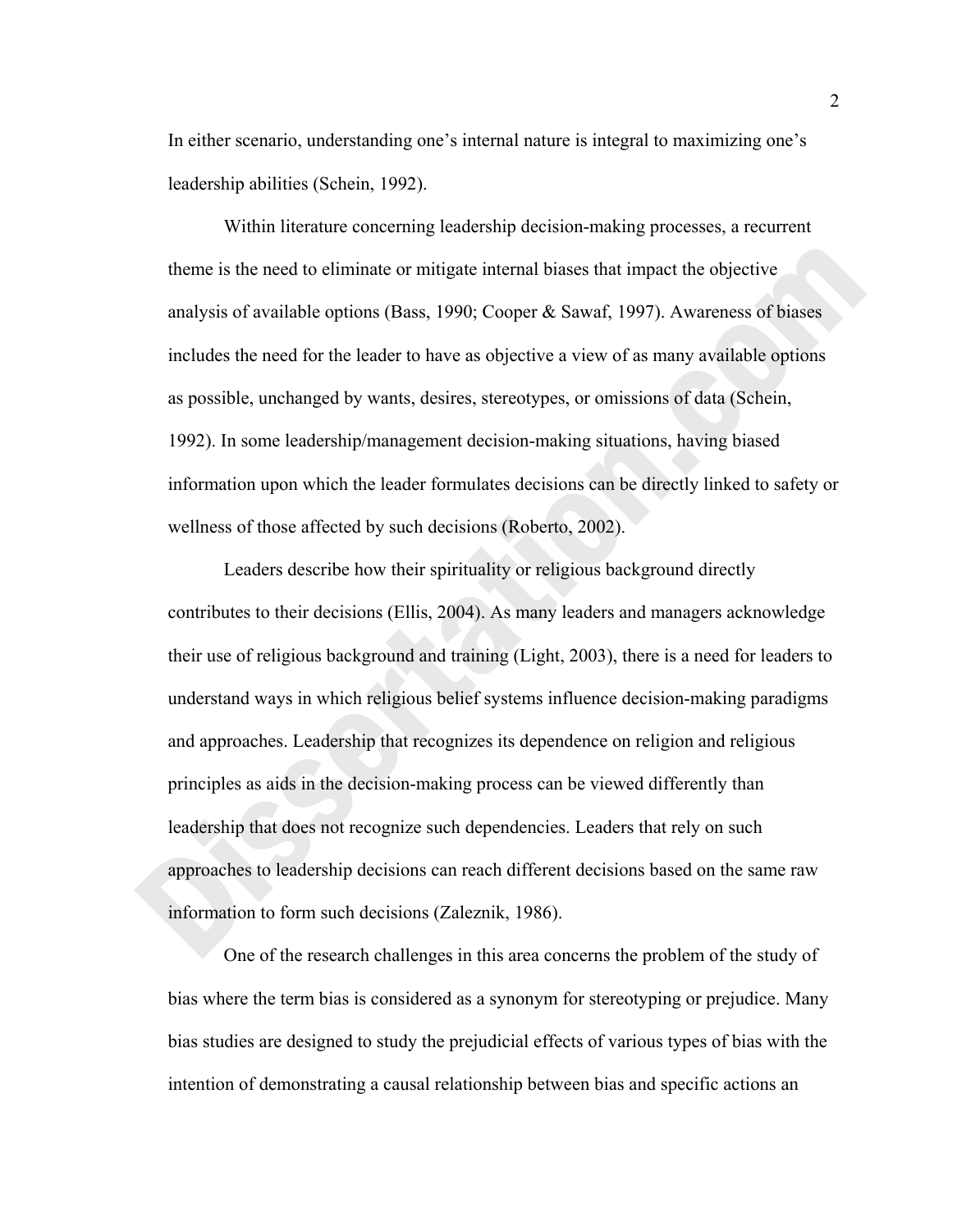In either scenario, understanding one's internal nature is integral to maximizing one's leadership abilities (Schein, 1992).

Within literature concerning leadership decision-making processes, a recurrent theme is the need to eliminate or mitigate internal biases that impact the objective analysis of available options (Bass, 1990; Cooper & Sawaf, 1997). Awareness of biases includes the need for the leader to have as objective a view of as many available options as possible, unchanged by wants, desires, stereotypes, or omissions of data (Schein, 1992). In some leadership/management decision-making situations, having biased information upon which the leader formulates decisions can be directly linked to safety or wellness of those affected by such decisions (Roberto, 2002).

Leaders describe how their spirituality or religious background directly contributes to their decisions (Ellis, 2004). As many leaders and managers acknowledge their use of religious background and training (Light, 2003), there is a need for leaders to understand ways in which religious belief systems influence decision-making paradigms and approaches. Leadership that recognizes its dependence on religion and religious principles as aids in the decision-making process can be viewed differently than leadership that does not recognize such dependencies. Leaders that rely on such approaches to leadership decisions can reach different decisions based on the same raw information to form such decisions (Zaleznik, 1986).

One of the research challenges in this area concerns the problem of the study of bias where the term bias is considered as a synonym for stereotyping or prejudice. Many bias studies are designed to study the prejudicial effects of various types of bias with the intention of demonstrating a causal relationship between bias and specific actions an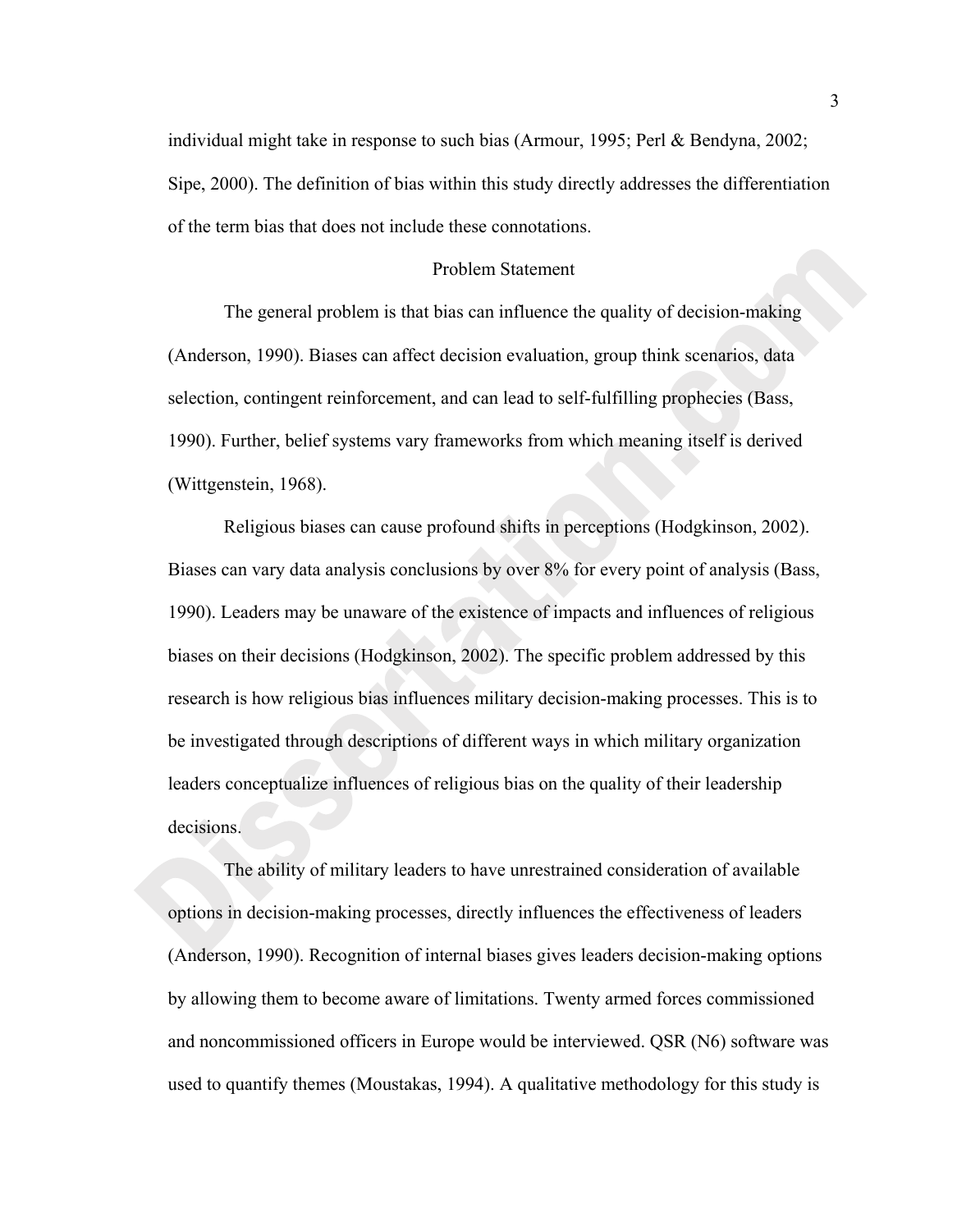individual might take in response to such bias (Armour, 1995; Perl & Bendyna, 2002; Sipe, 2000). The definition of bias within this study directly addresses the differentiation of the term bias that does not include these connotations.

### Problem Statement

The general problem is that bias can influence the quality of decision-making (Anderson, 1990). Biases can affect decision evaluation, group think scenarios, data selection, contingent reinforcement, and can lead to self-fulfilling prophecies (Bass, 1990). Further, belief systems vary frameworks from which meaning itself is derived (Wittgenstein, 1968).

Religious biases can cause profound shifts in perceptions (Hodgkinson, 2002). Biases can vary data analysis conclusions by over 8% for every point of analysis (Bass, 1990). Leaders may be unaware of the existence of impacts and influences of religious biases on their decisions (Hodgkinson, 2002). The specific problem addressed by this research is how religious bias influences military decision-making processes. This is to be investigated through descriptions of different ways in which military organization leaders conceptualize influences of religious bias on the quality of their leadership decisions.

The ability of military leaders to have unrestrained consideration of available options in decision-making processes, directly influences the effectiveness of leaders (Anderson, 1990). Recognition of internal biases gives leaders decision-making options by allowing them to become aware of limitations. Twenty armed forces commissioned and noncommissioned officers in Europe would be interviewed. QSR (N6) software was used to quantify themes (Moustakas, 1994). A qualitative methodology for this study is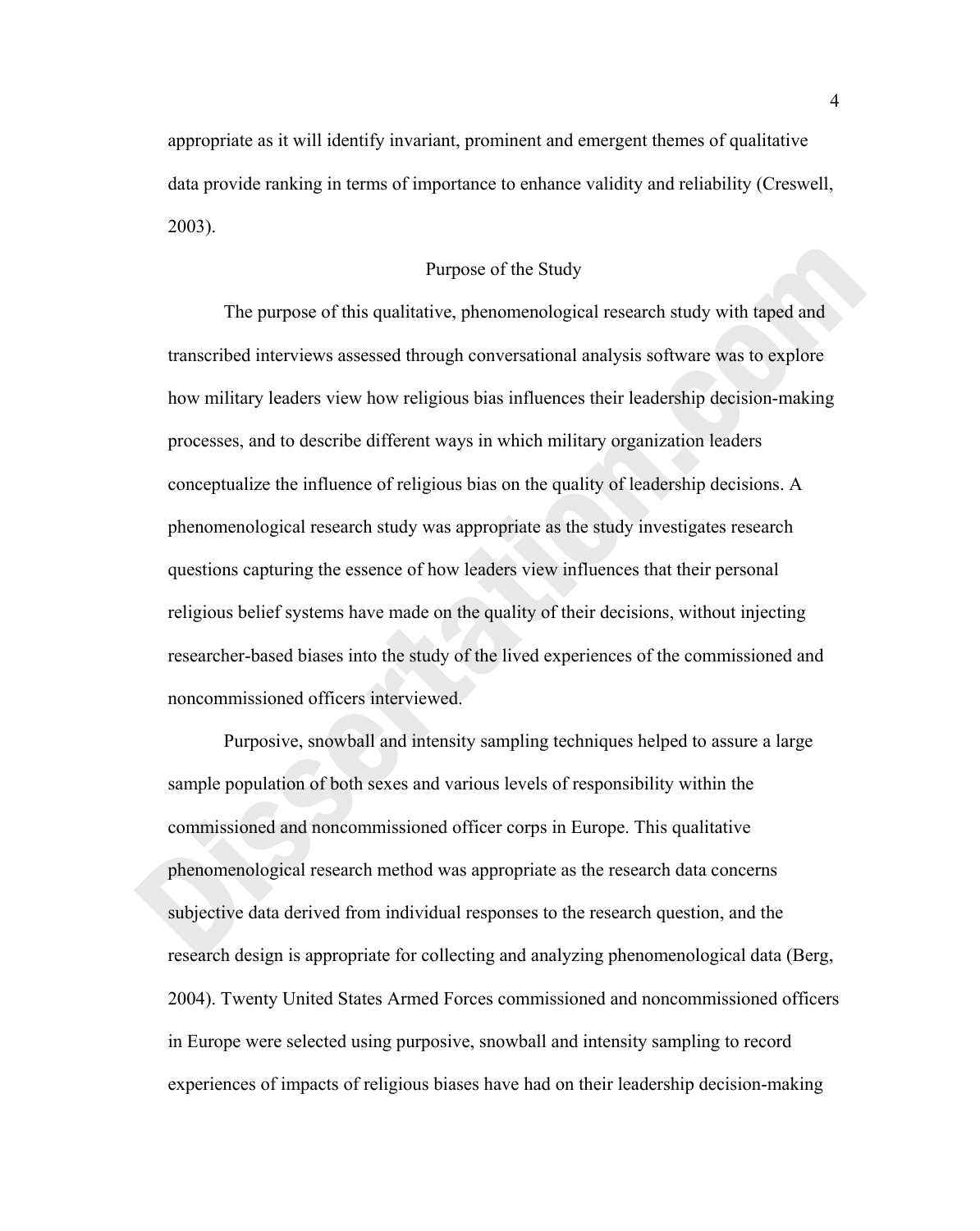appropriate as it will identify invariant, prominent and emergent themes of qualitative data provide ranking in terms of importance to enhance validity and reliability (Creswell, 2003).

# Purpose of the Study

The purpose of this qualitative, phenomenological research study with taped and transcribed interviews assessed through conversational analysis software was to explore how military leaders view how religious bias influences their leadership decision-making processes, and to describe different ways in which military organization leaders conceptualize the influence of religious bias on the quality of leadership decisions. A phenomenological research study was appropriate as the study investigates research questions capturing the essence of how leaders view influences that their personal religious belief systems have made on the quality of their decisions, without injecting researcher-based biases into the study of the lived experiences of the commissioned and noncommissioned officers interviewed.

Purposive, snowball and intensity sampling techniques helped to assure a large sample population of both sexes and various levels of responsibility within the commissioned and noncommissioned officer corps in Europe. This qualitative phenomenological research method was appropriate as the research data concerns subjective data derived from individual responses to the research question, and the research design is appropriate for collecting and analyzing phenomenological data (Berg, 2004). Twenty United States Armed Forces commissioned and noncommissioned officers in Europe were selected using purposive, snowball and intensity sampling to record experiences of impacts of religious biases have had on their leadership decision-making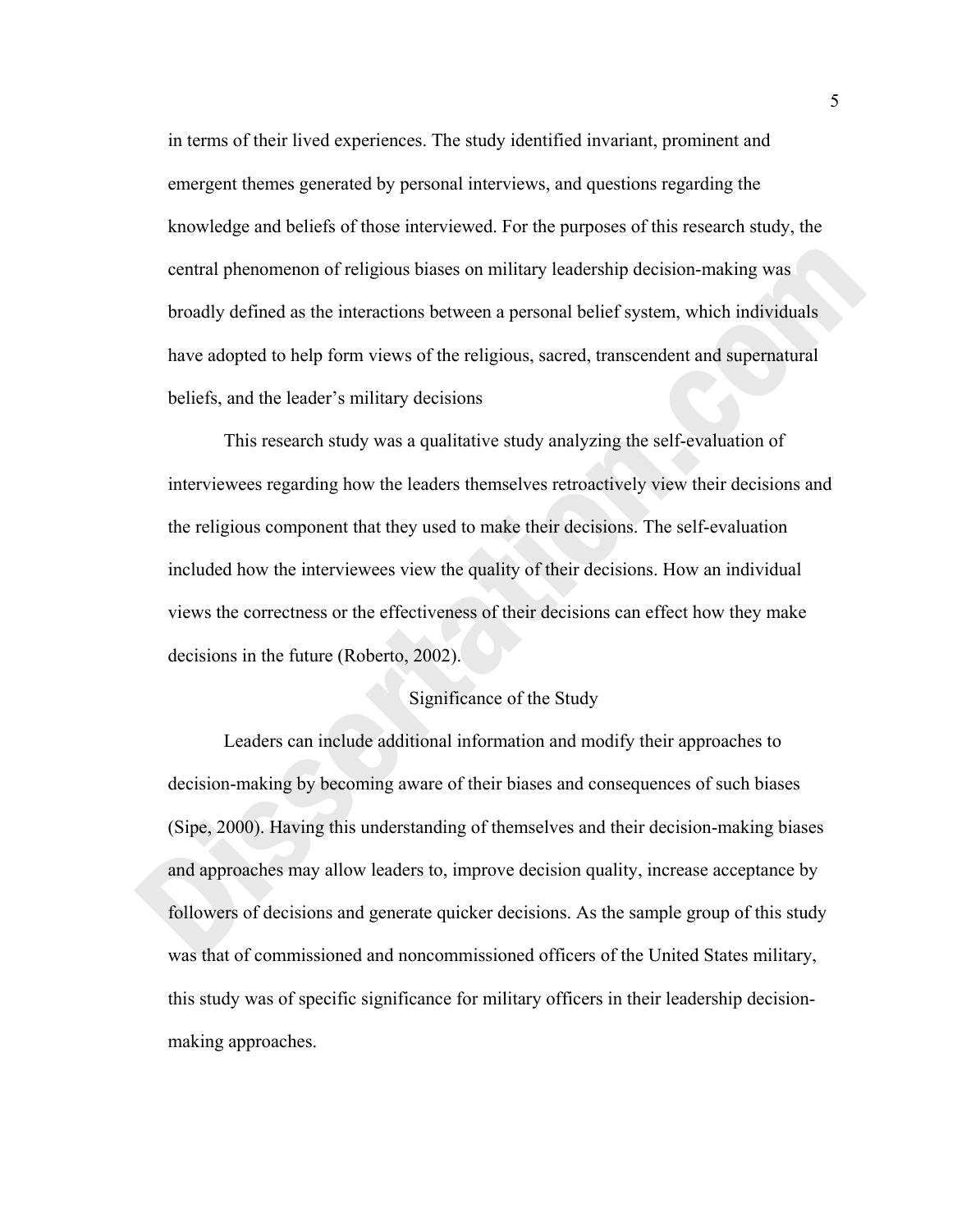in terms of their lived experiences. The study identified invariant, prominent and emergent themes generated by personal interviews, and questions regarding the knowledge and beliefs of those interviewed. For the purposes of this research study, the central phenomenon of religious biases on military leadership decision-making was broadly defined as the interactions between a personal belief system, which individuals have adopted to help form views of the religious, sacred, transcendent and supernatural beliefs, and the leader's military decisions

This research study was a qualitative study analyzing the self-evaluation of interviewees regarding how the leaders themselves retroactively view their decisions and the religious component that they used to make their decisions. The self-evaluation included how the interviewees view the quality of their decisions. How an individual views the correctness or the effectiveness of their decisions can effect how they make decisions in the future (Roberto, 2002).

#### Significance of the Study

Leaders can include additional information and modify their approaches to decision-making by becoming aware of their biases and consequences of such biases (Sipe, 2000). Having this understanding of themselves and their decision-making biases and approaches may allow leaders to, improve decision quality, increase acceptance by followers of decisions and generate quicker decisions. As the sample group of this study was that of commissioned and noncommissioned officers of the United States military, this study was of specific significance for military officers in their leadership decisionmaking approaches.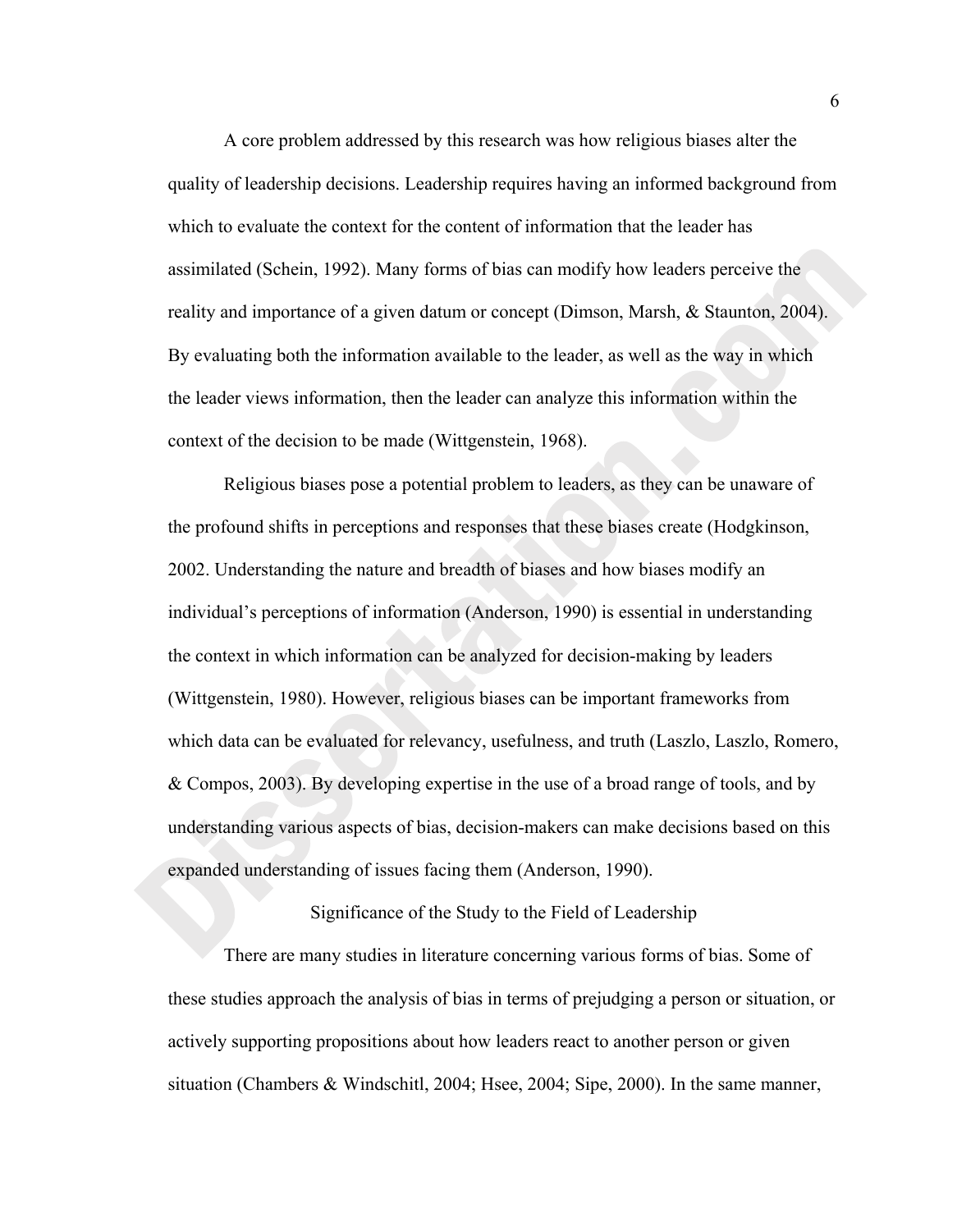A core problem addressed by this research was how religious biases alter the quality of leadership decisions. Leadership requires having an informed background from which to evaluate the context for the content of information that the leader has assimilated (Schein, 1992). Many forms of bias can modify how leaders perceive the reality and importance of a given datum or concept (Dimson, Marsh, & Staunton, 2004). By evaluating both the information available to the leader, as well as the way in which the leader views information, then the leader can analyze this information within the context of the decision to be made (Wittgenstein, 1968).

Religious biases pose a potential problem to leaders, as they can be unaware of the profound shifts in perceptions and responses that these biases create (Hodgkinson, 2002. Understanding the nature and breadth of biases and how biases modify an individual's perceptions of information (Anderson, 1990) is essential in understanding the context in which information can be analyzed for decision-making by leaders (Wittgenstein, 1980). However, religious biases can be important frameworks from which data can be evaluated for relevancy, usefulness, and truth (Laszlo, Laszlo, Romero, & Compos, 2003). By developing expertise in the use of a broad range of tools, and by understanding various aspects of bias, decision-makers can make decisions based on this expanded understanding of issues facing them (Anderson, 1990).

#### Significance of the Study to the Field of Leadership

There are many studies in literature concerning various forms of bias. Some of these studies approach the analysis of bias in terms of prejudging a person or situation, or actively supporting propositions about how leaders react to another person or given situation (Chambers & Windschitl, 2004; Hsee, 2004; Sipe, 2000). In the same manner,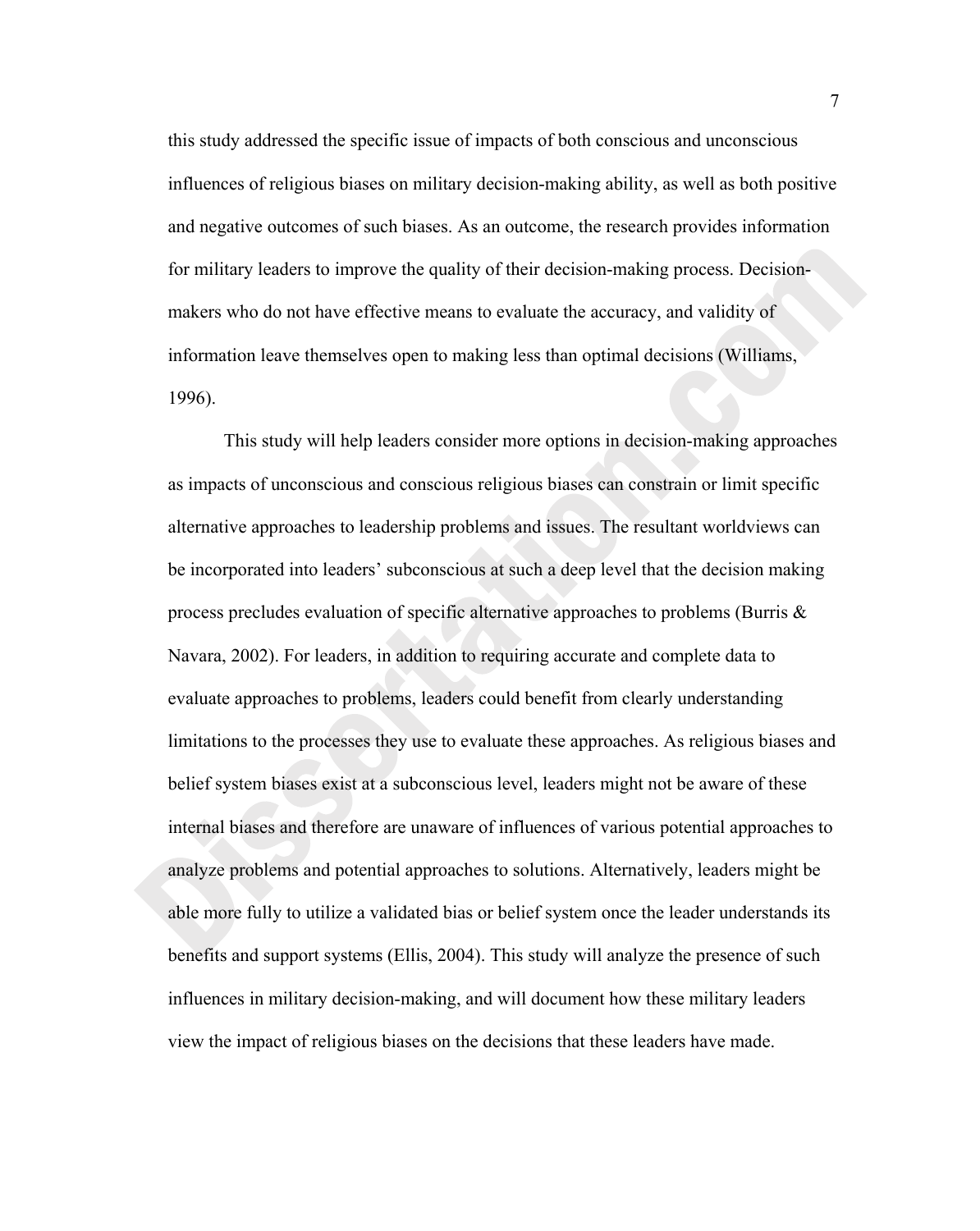this study addressed the specific issue of impacts of both conscious and unconscious influences of religious biases on military decision-making ability, as well as both positive and negative outcomes of such biases. As an outcome, the research provides information for military leaders to improve the quality of their decision-making process. Decisionmakers who do not have effective means to evaluate the accuracy, and validity of information leave themselves open to making less than optimal decisions (Williams, 1996).

This study will help leaders consider more options in decision-making approaches as impacts of unconscious and conscious religious biases can constrain or limit specific alternative approaches to leadership problems and issues. The resultant worldviews can be incorporated into leaders' subconscious at such a deep level that the decision making process precludes evaluation of specific alternative approaches to problems (Burris  $\&$ Navara, 2002). For leaders, in addition to requiring accurate and complete data to evaluate approaches to problems, leaders could benefit from clearly understanding limitations to the processes they use to evaluate these approaches. As religious biases and belief system biases exist at a subconscious level, leaders might not be aware of these internal biases and therefore are unaware of influences of various potential approaches to analyze problems and potential approaches to solutions. Alternatively, leaders might be able more fully to utilize a validated bias or belief system once the leader understands its benefits and support systems (Ellis, 2004). This study will analyze the presence of such influences in military decision-making, and will document how these military leaders view the impact of religious biases on the decisions that these leaders have made.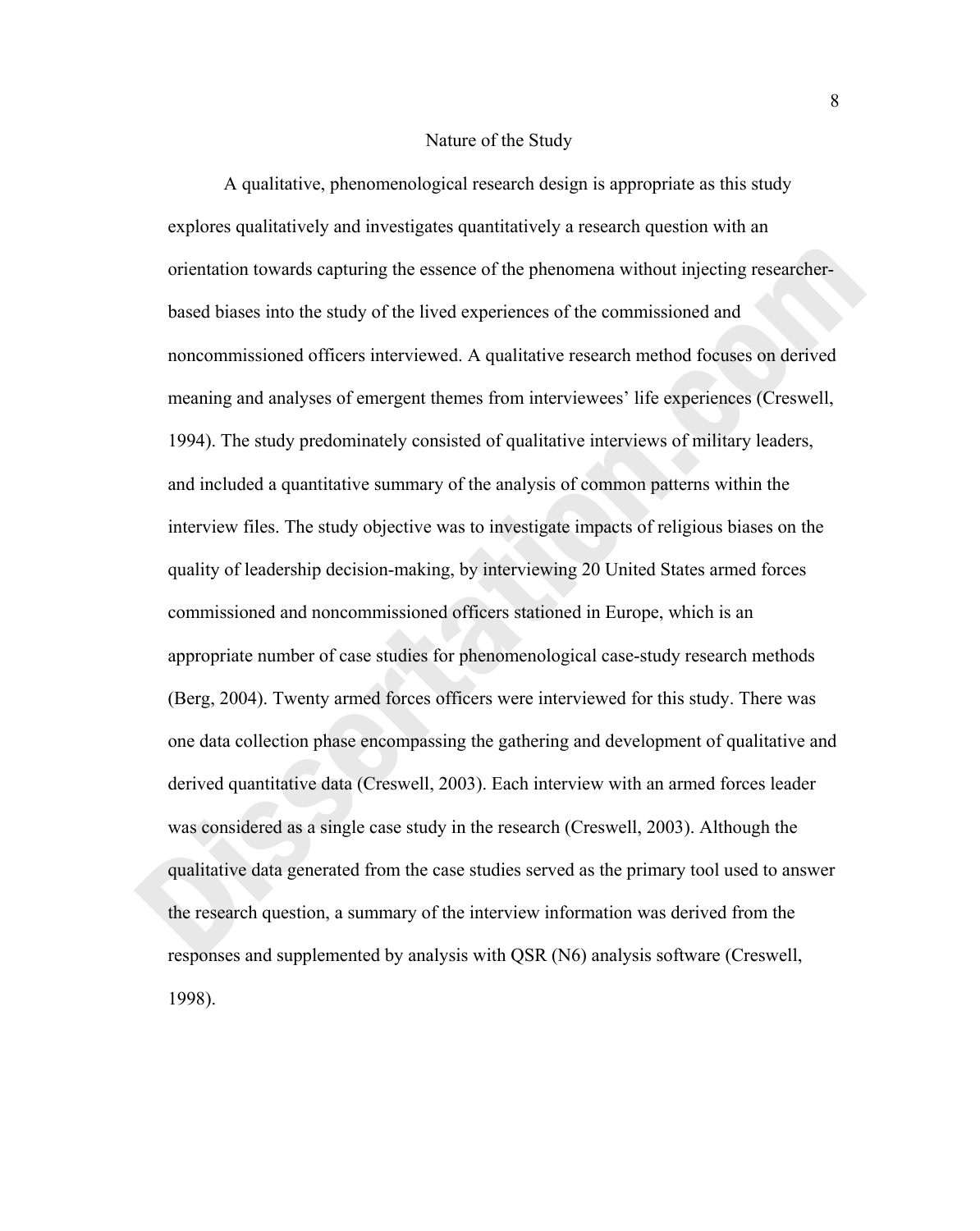#### Nature of the Study

A qualitative, phenomenological research design is appropriate as this study explores qualitatively and investigates quantitatively a research question with an orientation towards capturing the essence of the phenomena without injecting researcherbased biases into the study of the lived experiences of the commissioned and noncommissioned officers interviewed. A qualitative research method focuses on derived meaning and analyses of emergent themes from interviewees' life experiences (Creswell, 1994). The study predominately consisted of qualitative interviews of military leaders, and included a quantitative summary of the analysis of common patterns within the interview files. The study objective was to investigate impacts of religious biases on the quality of leadership decision-making, by interviewing 20 United States armed forces commissioned and noncommissioned officers stationed in Europe, which is an appropriate number of case studies for phenomenological case-study research methods (Berg, 2004). Twenty armed forces officers were interviewed for this study. There was one data collection phase encompassing the gathering and development of qualitative and derived quantitative data (Creswell, 2003). Each interview with an armed forces leader was considered as a single case study in the research (Creswell, 2003). Although the qualitative data generated from the case studies served as the primary tool used to answer the research question, a summary of the interview information was derived from the responses and supplemented by analysis with QSR (N6) analysis software (Creswell, 1998).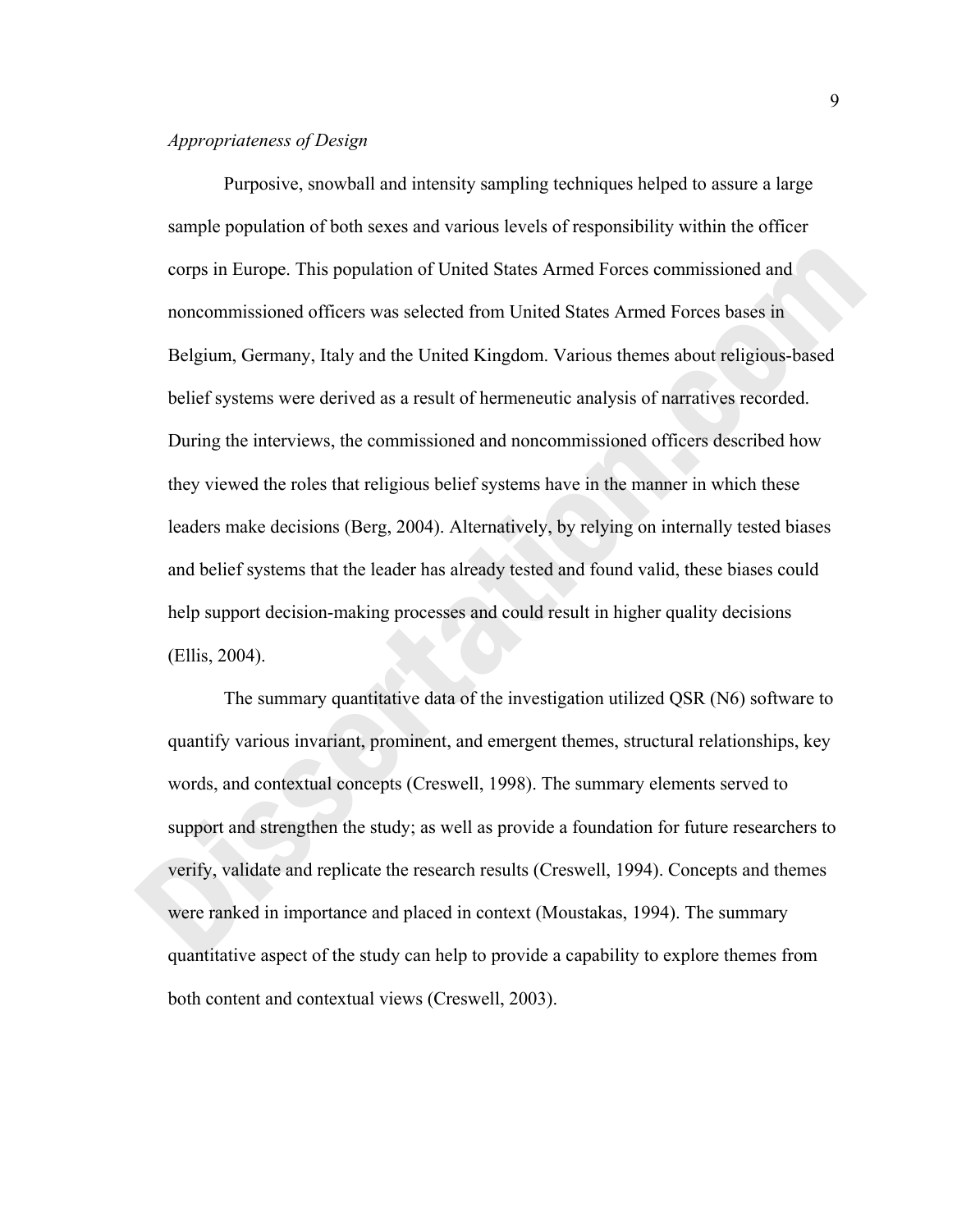# *Appropriateness of Design*

Purposive, snowball and intensity sampling techniques helped to assure a large sample population of both sexes and various levels of responsibility within the officer corps in Europe. This population of United States Armed Forces commissioned and noncommissioned officers was selected from United States Armed Forces bases in Belgium, Germany, Italy and the United Kingdom. Various themes about religious-based belief systems were derived as a result of hermeneutic analysis of narratives recorded. During the interviews, the commissioned and noncommissioned officers described how they viewed the roles that religious belief systems have in the manner in which these leaders make decisions (Berg, 2004). Alternatively, by relying on internally tested biases and belief systems that the leader has already tested and found valid, these biases could help support decision-making processes and could result in higher quality decisions (Ellis, 2004).

The summary quantitative data of the investigation utilized QSR (N6) software to quantify various invariant, prominent, and emergent themes, structural relationships, key words, and contextual concepts (Creswell, 1998). The summary elements served to support and strengthen the study; as well as provide a foundation for future researchers to verify, validate and replicate the research results (Creswell, 1994). Concepts and themes were ranked in importance and placed in context (Moustakas, 1994). The summary quantitative aspect of the study can help to provide a capability to explore themes from both content and contextual views (Creswell, 2003).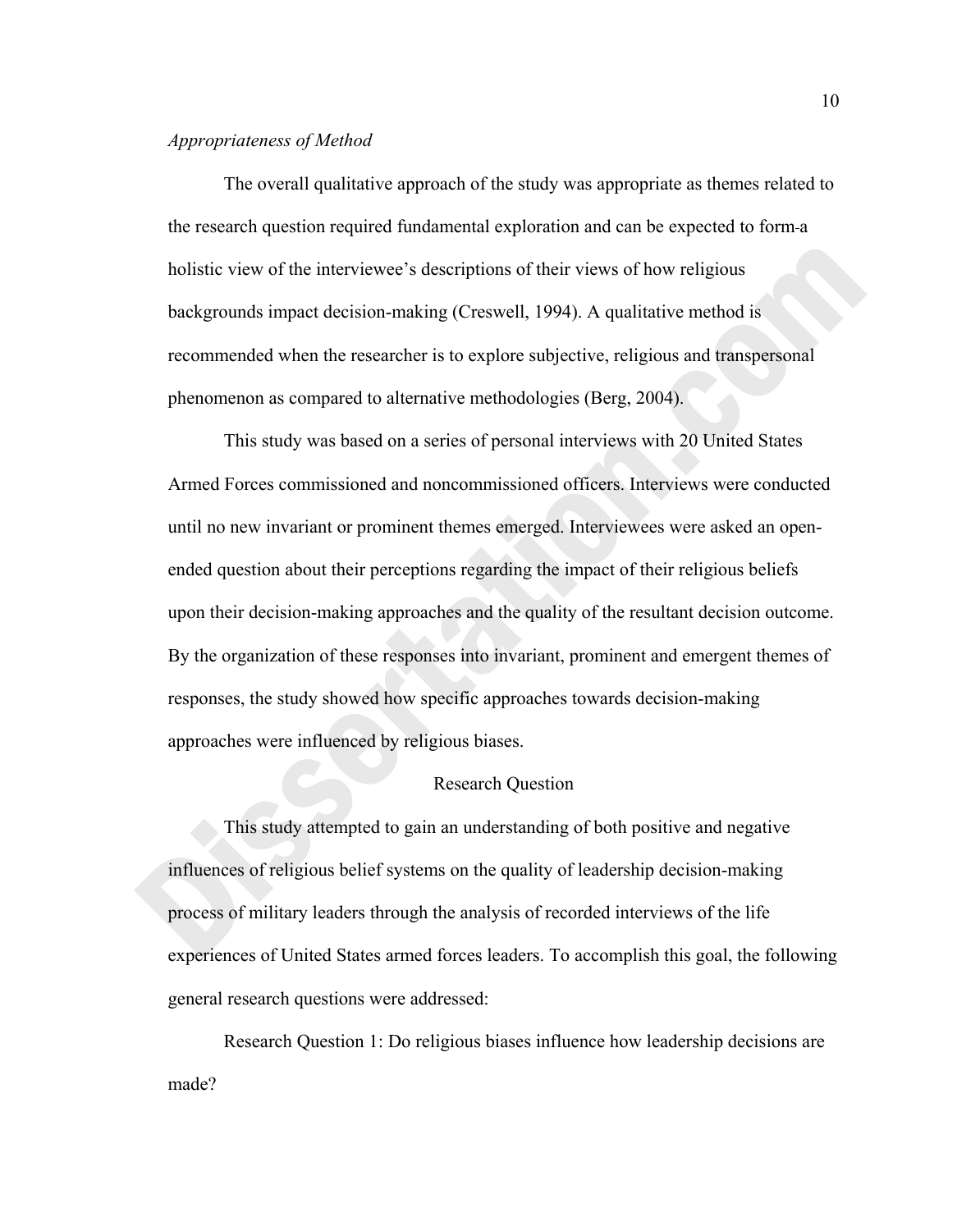# *Appropriateness of Method*

The overall qualitative approach of the study was appropriate as themes related to the research question required fundamental exploration and can be expected to form a holistic view of the interviewee's descriptions of their views of how religious backgrounds impact decision-making (Creswell, 1994). A qualitative method is recommended when the researcher is to explore subjective, religious and transpersonal phenomenon as compared to alternative methodologies (Berg, 2004).

This study was based on a series of personal interviews with 20 United States Armed Forces commissioned and noncommissioned officers. Interviews were conducted until no new invariant or prominent themes emerged. Interviewees were asked an openended question about their perceptions regarding the impact of their religious beliefs upon their decision-making approaches and the quality of the resultant decision outcome. By the organization of these responses into invariant, prominent and emergent themes of responses, the study showed how specific approaches towards decision-making approaches were influenced by religious biases.

# Research Question

This study attempted to gain an understanding of both positive and negative influences of religious belief systems on the quality of leadership decision-making process of military leaders through the analysis of recorded interviews of the life experiences of United States armed forces leaders. To accomplish this goal, the following general research questions were addressed:

Research Question 1: Do religious biases influence how leadership decisions are made?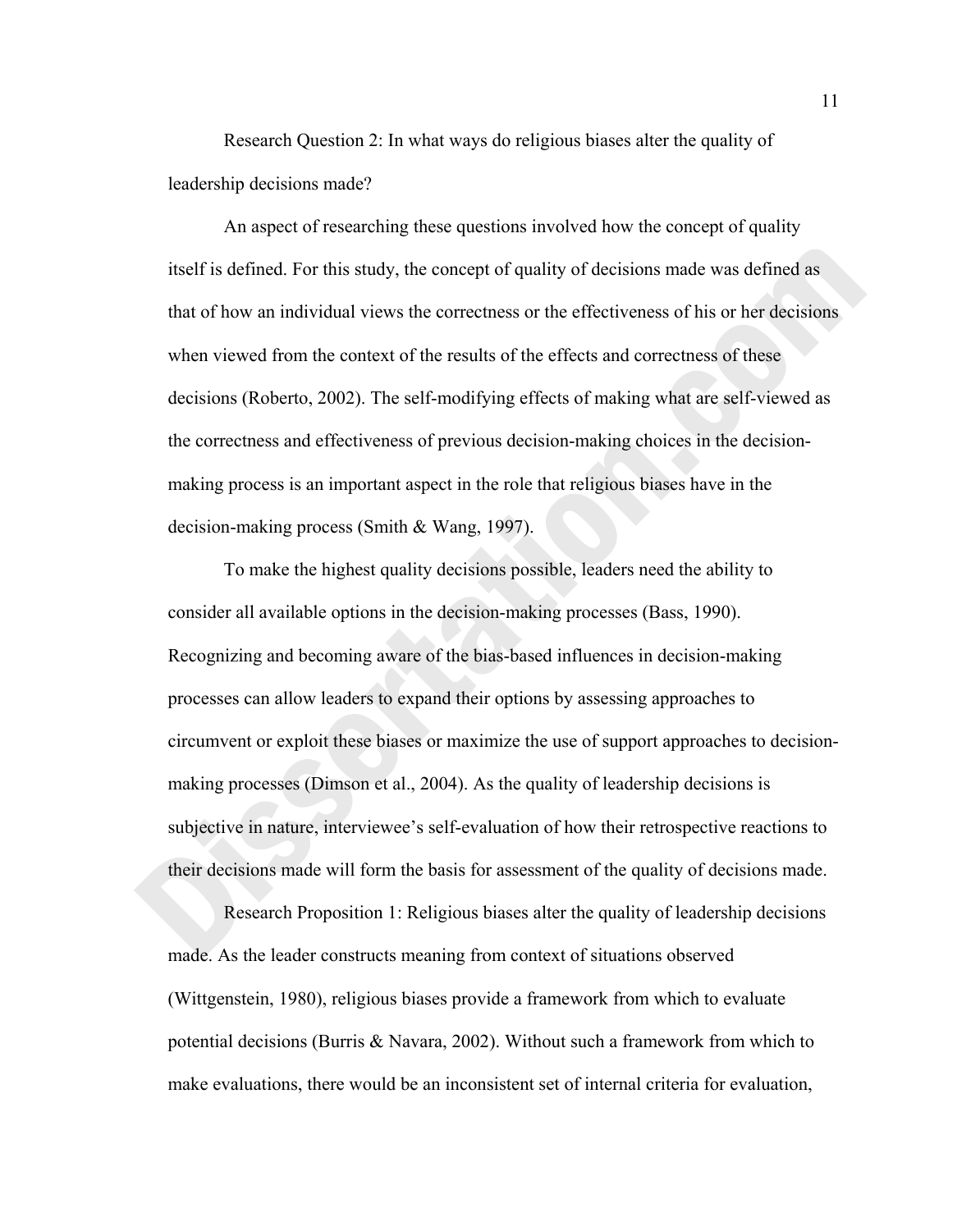Research Question 2: In what ways do religious biases alter the quality of leadership decisions made?

An aspect of researching these questions involved how the concept of quality itself is defined. For this study, the concept of quality of decisions made was defined as that of how an individual views the correctness or the effectiveness of his or her decisions when viewed from the context of the results of the effects and correctness of these decisions (Roberto, 2002). The self-modifying effects of making what are self-viewed as the correctness and effectiveness of previous decision-making choices in the decisionmaking process is an important aspect in the role that religious biases have in the decision-making process (Smith & Wang, 1997).

To make the highest quality decisions possible, leaders need the ability to consider all available options in the decision-making processes (Bass, 1990). Recognizing and becoming aware of the bias-based influences in decision-making processes can allow leaders to expand their options by assessing approaches to circumvent or exploit these biases or maximize the use of support approaches to decisionmaking processes (Dimson et al., 2004). As the quality of leadership decisions is subjective in nature, interviewee's self-evaluation of how their retrospective reactions to their decisions made will form the basis for assessment of the quality of decisions made.

Research Proposition 1: Religious biases alter the quality of leadership decisions made. As the leader constructs meaning from context of situations observed (Wittgenstein, 1980), religious biases provide a framework from which to evaluate potential decisions (Burris & Navara, 2002). Without such a framework from which to make evaluations, there would be an inconsistent set of internal criteria for evaluation,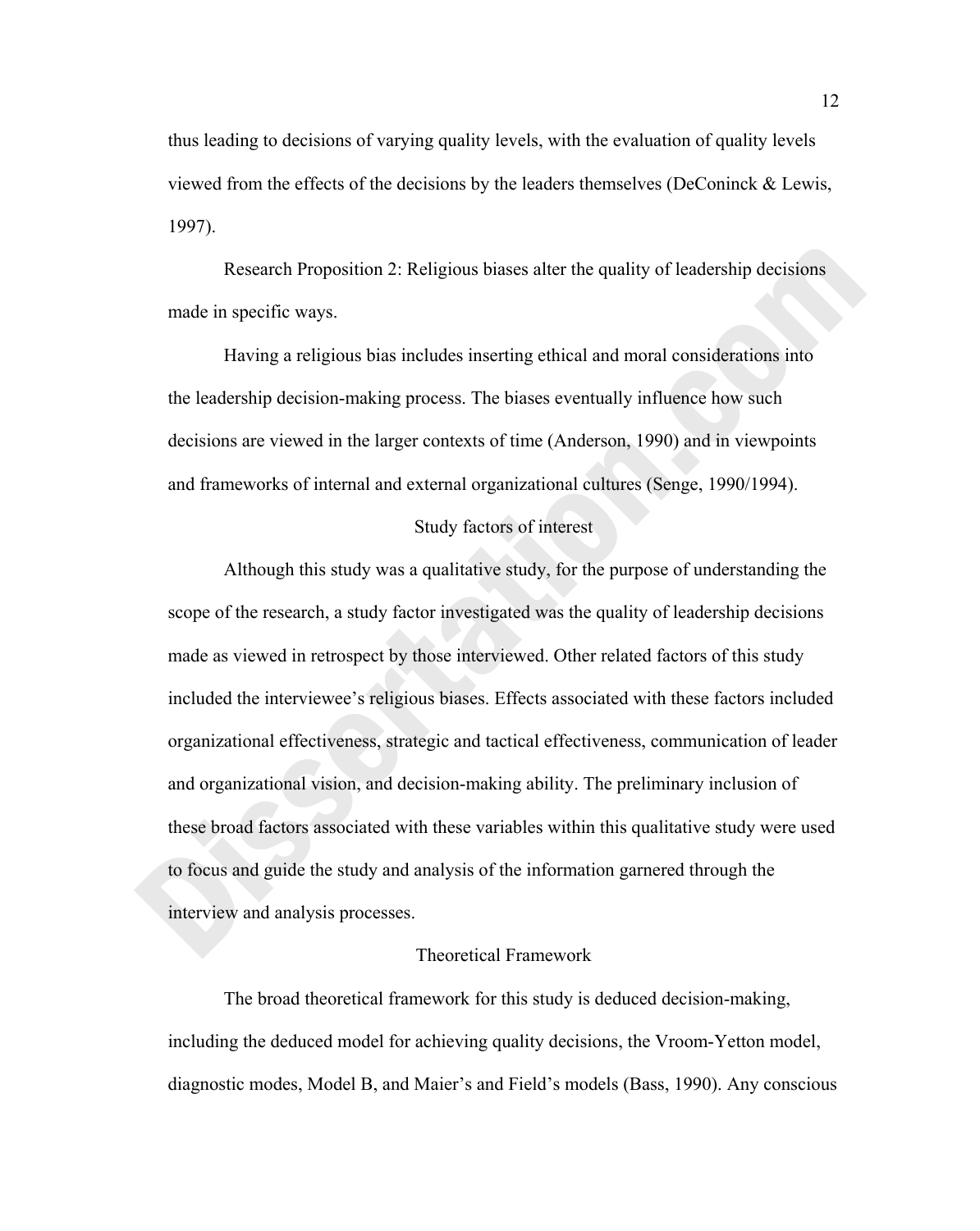thus leading to decisions of varying quality levels, with the evaluation of quality levels viewed from the effects of the decisions by the leaders themselves (DeConinck & Lewis, 1997).

Research Proposition 2: Religious biases alter the quality of leadership decisions made in specific ways.

Having a religious bias includes inserting ethical and moral considerations into the leadership decision-making process. The biases eventually influence how such decisions are viewed in the larger contexts of time (Anderson, 1990) and in viewpoints and frameworks of internal and external organizational cultures (Senge, 1990/1994).

#### Study factors of interest

Although this study was a qualitative study, for the purpose of understanding the scope of the research, a study factor investigated was the quality of leadership decisions made as viewed in retrospect by those interviewed. Other related factors of this study included the interviewee's religious biases. Effects associated with these factors included organizational effectiveness, strategic and tactical effectiveness, communication of leader and organizational vision, and decision-making ability. The preliminary inclusion of these broad factors associated with these variables within this qualitative study were used to focus and guide the study and analysis of the information garnered through the interview and analysis processes.

# Theoretical Framework

The broad theoretical framework for this study is deduced decision-making, including the deduced model for achieving quality decisions, the Vroom-Yetton model, diagnostic modes, Model B, and Maier's and Field's models (Bass, 1990). Any conscious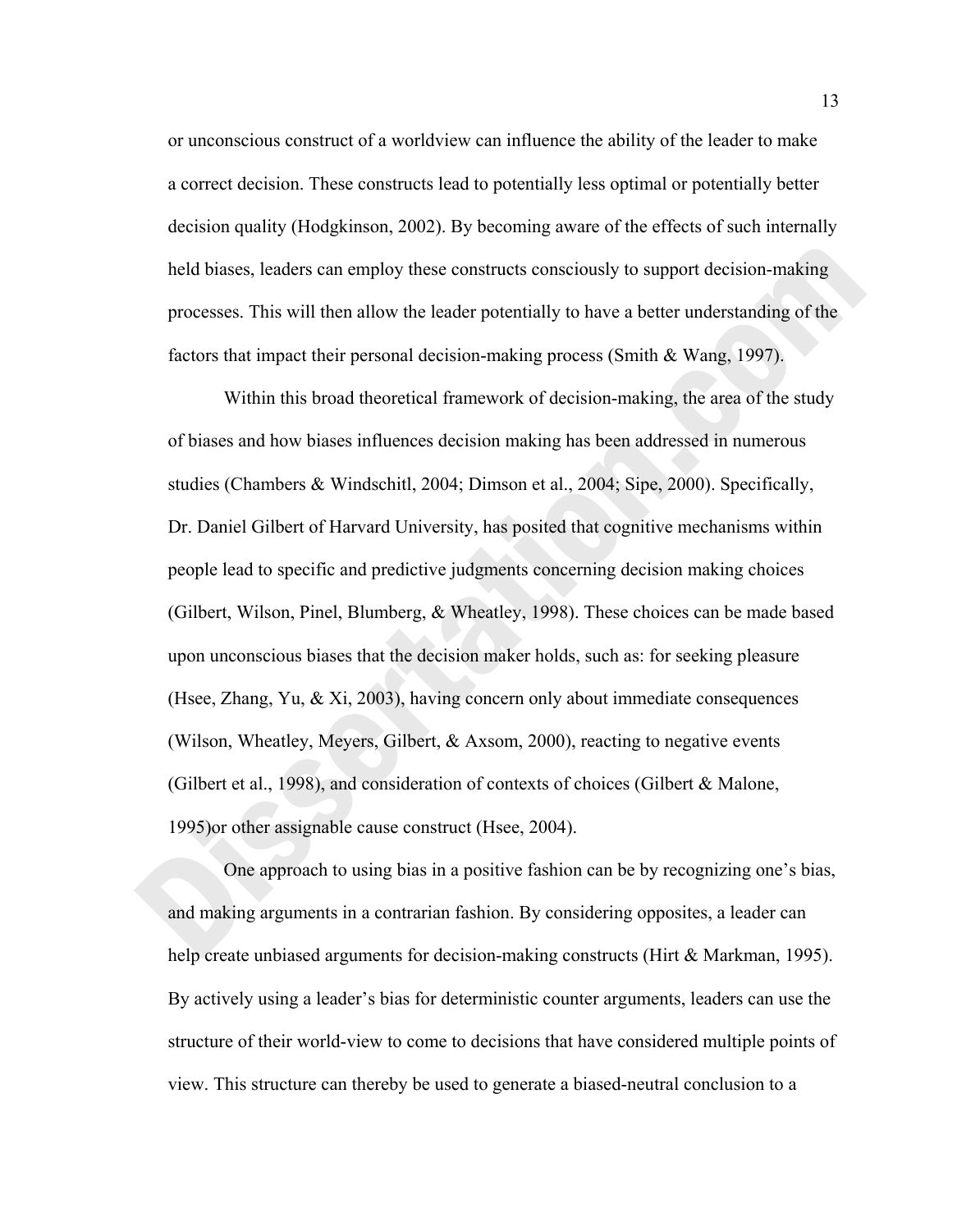or unconscious construct of a worldview can influence the ability of the leader to make a correct decision. These constructs lead to potentially less optimal or potentially better decision quality (Hodgkinson, 2002). By becoming aware of the effects of such internally held biases, leaders can employ these constructs consciously to support decision-making processes. This will then allow the leader potentially to have a better understanding of the factors that impact their personal decision-making process (Smith & Wang, 1997).

Within this broad theoretical framework of decision-making, the area of the study of biases and how biases influences decision making has been addressed in numerous studies (Chambers & Windschitl, 2004; Dimson et al., 2004; Sipe, 2000). Specifically, Dr. Daniel Gilbert of Harvard University, has posited that cognitive mechanisms within people lead to specific and predictive judgments concerning decision making choices (Gilbert, Wilson, Pinel, Blumberg, & Wheatley, 1998). These choices can be made based upon unconscious biases that the decision maker holds, such as: for seeking pleasure (Hsee, Zhang, Yu, & Xi, 2003), having concern only about immediate consequences (Wilson, Wheatley, Meyers, Gilbert, & Axsom, 2000), reacting to negative events (Gilbert et al., 1998), and consideration of contexts of choices (Gilbert & Malone, 1995)or other assignable cause construct (Hsee, 2004).

One approach to using bias in a positive fashion can be by recognizing one's bias, and making arguments in a contrarian fashion. By considering opposites, a leader can help create unbiased arguments for decision-making constructs (Hirt & Markman, 1995). By actively using a leader's bias for deterministic counter arguments, leaders can use the structure of their world-view to come to decisions that have considered multiple points of view. This structure can thereby be used to generate a biased-neutral conclusion to a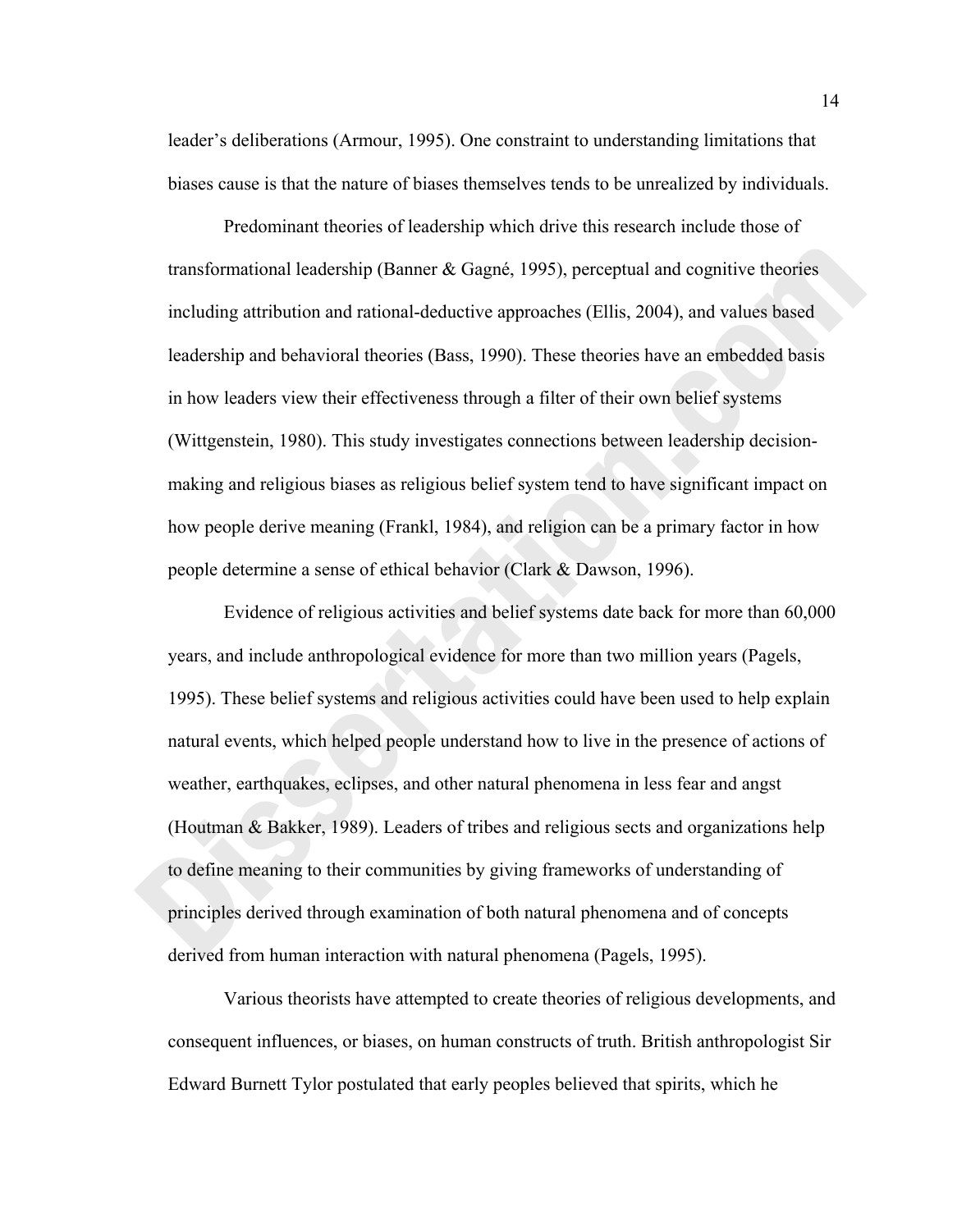leader's deliberations (Armour, 1995). One constraint to understanding limitations that biases cause is that the nature of biases themselves tends to be unrealized by individuals.

Predominant theories of leadership which drive this research include those of transformational leadership (Banner & Gagné, 1995), perceptual and cognitive theories including attribution and rational-deductive approaches (Ellis, 2004), and values based leadership and behavioral theories (Bass, 1990). These theories have an embedded basis in how leaders view their effectiveness through a filter of their own belief systems (Wittgenstein, 1980). This study investigates connections between leadership decisionmaking and religious biases as religious belief system tend to have significant impact on how people derive meaning (Frankl, 1984), and religion can be a primary factor in how people determine a sense of ethical behavior (Clark & Dawson, 1996).

Evidence of religious activities and belief systems date back for more than 60,000 years, and include anthropological evidence for more than two million years (Pagels, 1995). These belief systems and religious activities could have been used to help explain natural events, which helped people understand how to live in the presence of actions of weather, earthquakes, eclipses, and other natural phenomena in less fear and angst (Houtman & Bakker, 1989). Leaders of tribes and religious sects and organizations help to define meaning to their communities by giving frameworks of understanding of principles derived through examination of both natural phenomena and of concepts derived from human interaction with natural phenomena (Pagels, 1995).

Various theorists have attempted to create theories of religious developments, and consequent influences, or biases, on human constructs of truth. British anthropologist Sir Edward Burnett Tylor postulated that early peoples believed that spirits, which he